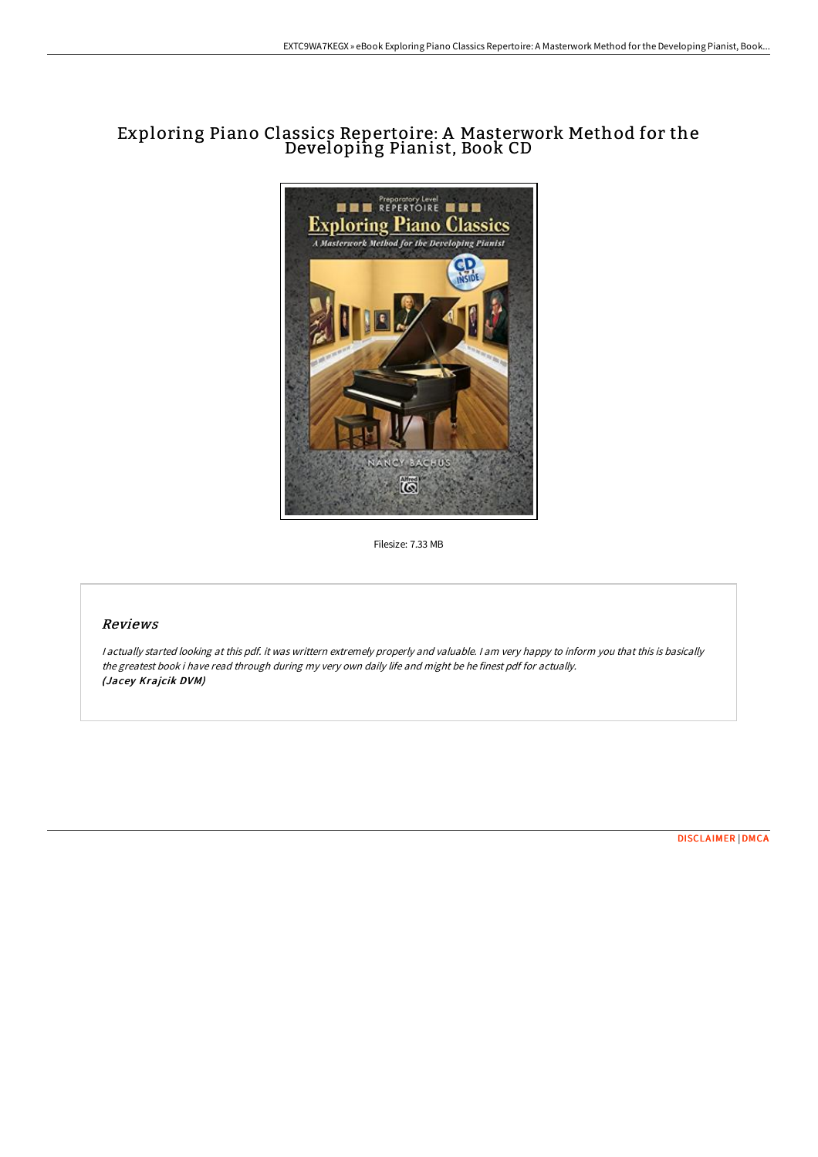## Exploring Piano Classics Repertoire: A Masterwork Method for the Developing Pianist, Book CD



Filesize: 7.33 MB

## Reviews

<sup>I</sup> actually started looking at this pdf. it was writtern extremely properly and valuable. <sup>I</sup> am very happy to inform you that this is basically the greatest book i have read through during my very own daily life and might be he finest pdf for actually. (Jacey Krajcik DVM)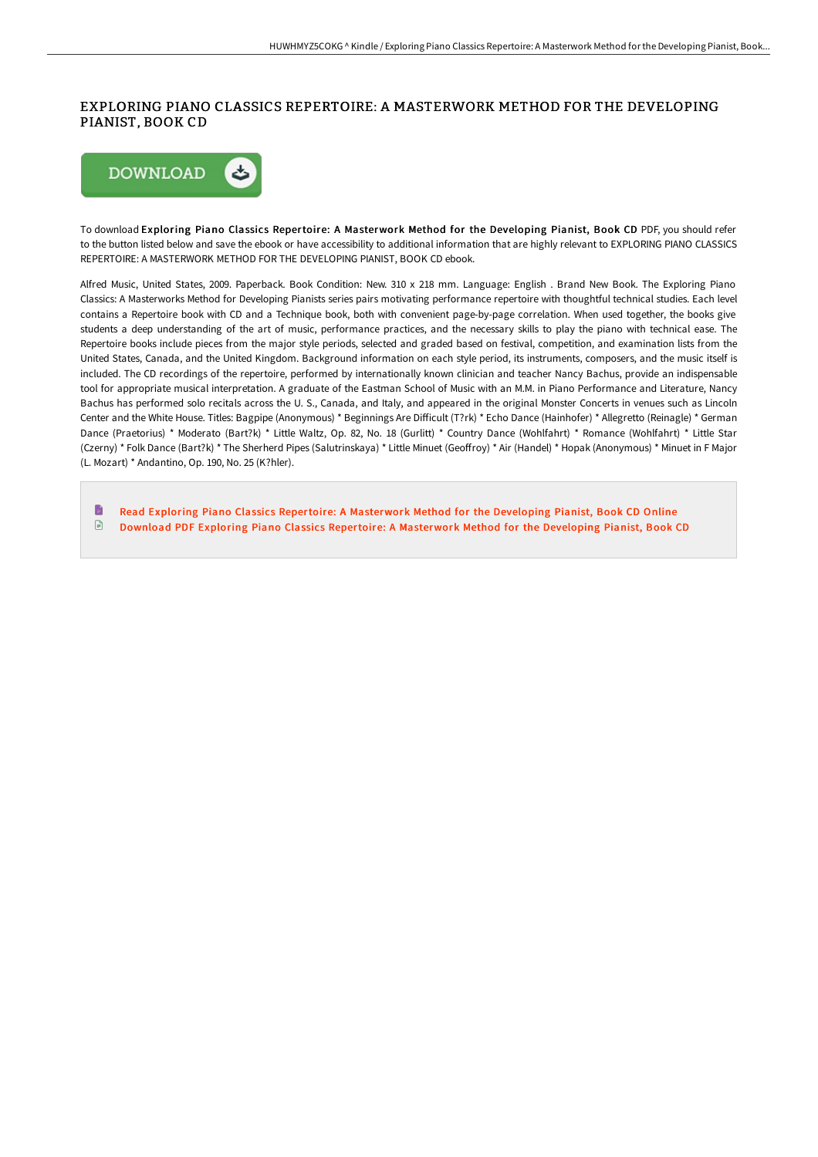## EXPLORING PIANO CLASSICS REPERTOIRE: A MASTERWORK METHOD FOR THE DEVELOPING PIANIST, BOOK CD



To download Exploring Piano Classics Repertoire: A Masterwork Method for the Developing Pianist, Book CD PDF, you should refer to the button listed below and save the ebook or have accessibility to additional information that are highly relevant to EXPLORING PIANO CLASSICS REPERTOIRE: A MASTERWORK METHOD FOR THE DEVELOPING PIANIST, BOOK CD ebook.

Alfred Music, United States, 2009. Paperback. Book Condition: New. 310 x 218 mm. Language: English . Brand New Book. The Exploring Piano Classics: A Masterworks Method for Developing Pianists series pairs motivating performance repertoire with thoughtful technical studies. Each level contains a Repertoire book with CD and a Technique book, both with convenient page-by-page correlation. When used together, the books give students a deep understanding of the art of music, performance practices, and the necessary skills to play the piano with technical ease. The Repertoire books include pieces from the major style periods, selected and graded based on festival, competition, and examination lists from the United States, Canada, and the United Kingdom. Background information on each style period, its instruments, composers, and the music itself is included. The CD recordings of the repertoire, performed by internationally known clinician and teacher Nancy Bachus, provide an indispensable tool for appropriate musical interpretation. A graduate of the Eastman School of Music with an M.M. in Piano Performance and Literature, Nancy Bachus has performed solo recitals across the U. S., Canada, and Italy, and appeared in the original Monster Concerts in venues such as Lincoln Center and the White House. Titles: Bagpipe (Anonymous) \* Beginnings Are Difficult (T?rk) \* Echo Dance (Hainhofer) \* Allegretto (Reinagle) \* German Dance (Praetorius) \* Moderato (Bart?k) \* Little Waltz, Op. 82, No. 18 (Gurlitt) \* Country Dance (Wohlfahrt) \* Romance (Wohlfahrt) \* Little Star (Czerny) \* Folk Dance (Bart?k) \* The Sherherd Pipes (Salutrinskaya) \* Little Minuet (Geoffroy) \* Air (Handel) \* Hopak (Anonymous) \* Minuet in F Major (L. Mozart) \* Andantino, Op. 190, No. 25 (K?hler).

B Read Exploring Piano Classics Repertoire: A [Masterwork](http://techno-pub.tech/exploring-piano-classics-repertoire-a-masterwork.html) Method for the Developing Pianist, Book CD Online  $\ensuremath{\boxdot}$ Download PDF Exploring Piano Classics Repertoire: A [Masterwork](http://techno-pub.tech/exploring-piano-classics-repertoire-a-masterwork.html) Method for the Developing Pianist, Book CD